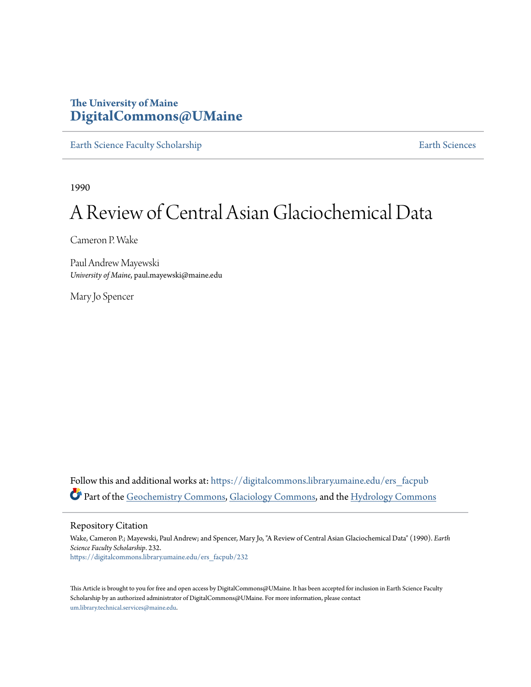# **The University of Maine [DigitalCommons@UMaine](https://digitalcommons.library.umaine.edu?utm_source=digitalcommons.library.umaine.edu%2Fers_facpub%2F232&utm_medium=PDF&utm_campaign=PDFCoverPages)**

[Earth Science Faculty Scholarship](https://digitalcommons.library.umaine.edu/ers_facpub?utm_source=digitalcommons.library.umaine.edu%2Fers_facpub%2F232&utm_medium=PDF&utm_campaign=PDFCoverPages) **[Earth Sciences](https://digitalcommons.library.umaine.edu/ers?utm_source=digitalcommons.library.umaine.edu%2Fers_facpub%2F232&utm_medium=PDF&utm_campaign=PDFCoverPages)** 

1990

# A Review of Central Asian Glaciochemical Data

Cameron P. Wake

Paul Andrew Mayewski *University of Maine*, paul.mayewski@maine.edu

Mary Jo Spencer

Follow this and additional works at: [https://digitalcommons.library.umaine.edu/ers\\_facpub](https://digitalcommons.library.umaine.edu/ers_facpub?utm_source=digitalcommons.library.umaine.edu%2Fers_facpub%2F232&utm_medium=PDF&utm_campaign=PDFCoverPages) Part of the [Geochemistry Commons](http://network.bepress.com/hgg/discipline/157?utm_source=digitalcommons.library.umaine.edu%2Fers_facpub%2F232&utm_medium=PDF&utm_campaign=PDFCoverPages), [Glaciology Commons,](http://network.bepress.com/hgg/discipline/159?utm_source=digitalcommons.library.umaine.edu%2Fers_facpub%2F232&utm_medium=PDF&utm_campaign=PDFCoverPages) and the [Hydrology Commons](http://network.bepress.com/hgg/discipline/1054?utm_source=digitalcommons.library.umaine.edu%2Fers_facpub%2F232&utm_medium=PDF&utm_campaign=PDFCoverPages)

Repository Citation

Wake, Cameron P.; Mayewski, Paul Andrew; and Spencer, Mary Jo, "A Review of Central Asian Glaciochemical Data" (1990). *Earth Science Faculty Scholarship*. 232. [https://digitalcommons.library.umaine.edu/ers\\_facpub/232](https://digitalcommons.library.umaine.edu/ers_facpub/232?utm_source=digitalcommons.library.umaine.edu%2Fers_facpub%2F232&utm_medium=PDF&utm_campaign=PDFCoverPages)

This Article is brought to you for free and open access by DigitalCommons@UMaine. It has been accepted for inclusion in Earth Science Faculty Scholarship by an authorized administrator of DigitalCommons@UMaine. For more information, please contact [um.library.technical.services@maine.edu](mailto:um.library.technical.services@maine.edu).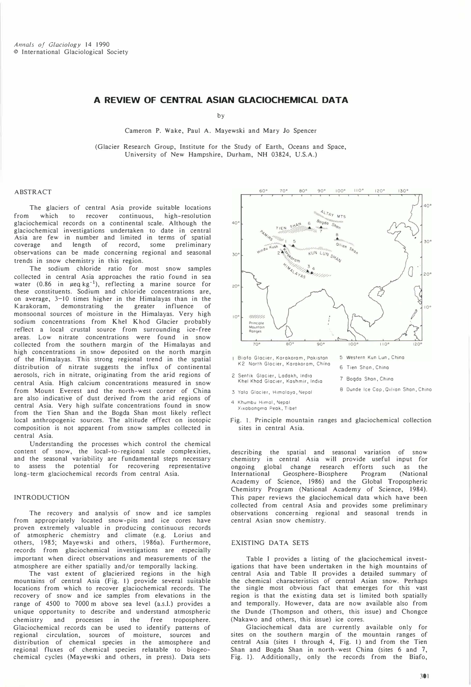# A REVIEW OF CENTRAL ASIAN GLACIOCHEMICAL DATA

by

Cameron P. Wake, Paul A. Mayewski and Mary Jo Spencer

(Glacier Research Group, Institute for the Study of Earth, Oceans and Space, University of New Hampshire, Durham, NH 03824, U.S.A.)

#### ABSTRACT

The glaciers of central Asia provide suitable locations from which to recover continuous, high-resolution glaciochemical records on a continental scale. Although the glaciochemical investigations undertaken to date in central<br>Asia are few in number and limited in terms of spatial Asia are few in number and limited in terms of coverage and length of record, some preliminary observations can be made concerning regional and seasonal trends in snow chemistry in this region.

The sodium chloride ratio for most snow samples collected in central Asia approaches the ratio found in sea water (0.86 in  $\mu$ eq kg<sup>-1</sup>), reflecting a marine source for these constituents. Sodium and chloride concentrations are, on average, 3-10 times higher in the Himalayas than in the Karakoram, demonstrating the greater influence of Karakoram, demonstrating the greater influence of monsoonal sources of moisture in the Himalayas. Very high sodium concentrations from Khel Khod Glacier probably reflect a local crustal source from surrounding ice-free areas. Low nitrate concentrations were found in snow collected from the southern margin of the Himalayas and high concentrations in snow deposited on the north margin of the Himalayas. This strong regional trend in the spatial distribution of nitrate suggests the influx of continental aerosols, rich in nitrate, originating from the arid regions of central Asia. High calcium concentrations measured in snow from Mount Everest and the north-west corner of China are also indicative of dust derived from the arid regions of central Asia. Very high sulfate concentrations found in snow from the Tien Shan and the Bogda Shan most likely reflect local anthropogenic sources. The altitude effect on isotopic composition is not apparent from snow samples collected in central Asia.

Understanding the processes which control the chemical content of snow, the local-to-regional scale complexities, and the seasonal variability are fundamental steps necessary<br>to assess the potential for recovering representative to assess the potential for recovering long-term glaciochemical records from central Asia.

#### INTRODUCTION

The recovery and analysis of snow and ice samples from appropriately located snow-pits and ice cores have proven extremely valuable in producing continuous records of atmospheric chemistry and climate (e.g. Lorius and others, 1985; Mayewski and others, 1986a). Furthermore, records from glaciochemical investigations are especially important when direct observations and measurements of the atmosphere are either spatially and/or temporally lacking.

The vast extent of glacierized regions in the high mountains of central Asia (Fig. I) provide several suitable locations from which to recover glaciochemical records. The recovery of snow and ice samples from elevations in the range of 4500 to 7000 m above sea level (a.s.1.) provides a unique opportunity to describe and understand atmospheric chemistry and processes in the free troposphere. Glaciochemical records can be used to identify patterns of regional circulation, sources of moisture, sources and distribution of chemical species in the atmosphere and regional fluxes of chemical species relatable to biogeochemical cycles (Mayewski and others, in press). Data sets



- 2 Sentik GlaCier, Ladakh, India Khel Khod Glacier, Kashmir, India
- 3 Yalo Glacier, Himolaya, Nepal
- 4 Khurnbu Himol, Nepal
	- Xixobongma Peak, Tibet
- Fig. I. Principle mountain ranges and glaciochemical collection sites in central Asia.

7 Bogda Shan, China

8 Dunde Ice Cap, Qilian Shan, Chino

describing the spatial and seasonal variation of snow chemistry in central Asia will provide useful input for ongoing global change research efforts such as the<br>International Geosphere-Biosphere Program (National International Geosphere-Biosphere Academy of Science, 1986) and the Global Tropospheric Chemistry Program (National Academy of Science, 1984). This paper reviews the glaciochemical data which have been collected from central Asia and provides some preliminary observations concerning regional and seasonal trends in central Asian snow chemistry.

# EXISTING DATA SETS

Table I provides a listing of the glaciochemical investigations that have been undertaken in the high mountains of central Asia and Table II provides a detailed summary of the chemical characteristics of central Asian snow. Perhaps the single most obvious fact that emerges for this vast region is that the existing data set is limited both spatially and temporally. However, data are now available also from the Dunde (Thompson and others, this issue) and Chongce (Nakawo and others, this issue) ice cores.

Glaciochemical data are currently available only for sites on the southern margin of the mountain ranges of central Asia (sites I through 4, Fig. I) and from the Tien Shan and Bogda Shan in north-west China (sites 6 and 7, Fig. I). Additionally, only the records from the Biafo,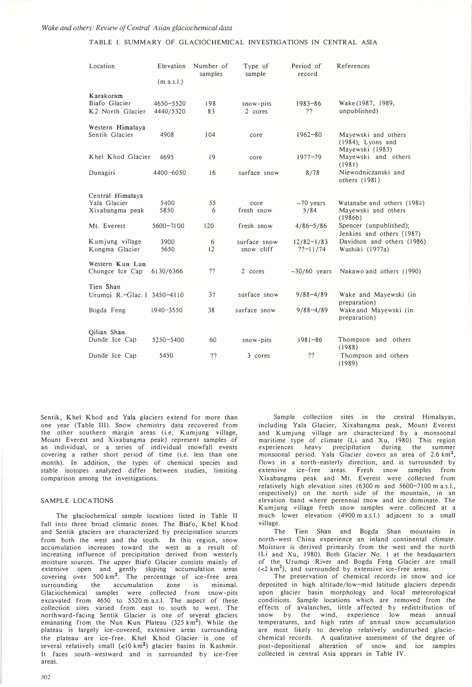#### Wake and others: Review of Central Asian glaciochemical data

#### TABLE I. SUMMARY OF GLACIOCHEMICAL INVESTIGATIONS IN CENTRAL ASIA

| Location                                                   | Elevation<br>(m a.s.l.)    | Number of<br>samples | Type of<br>sample          | Period of<br>record            | References                                                   |
|------------------------------------------------------------|----------------------------|----------------------|----------------------------|--------------------------------|--------------------------------------------------------------|
| Karakoram<br>Biafo Glacier<br>K <sub>2</sub> North Glacier | $4650 - 5520$<br>4440/5320 | 198<br>83            | $snow - pits$<br>2 cores   | $1983 - 86$<br>??              | Wake (1987, 1989,<br>unpublished)                            |
| Western Himalaya<br>Sentik Glacier                         | 4908                       | 104                  | core                       | $1962 - 80$                    | Mayewski and others<br>$(1984)$ ; Lyons and                  |
| Khel Khod Glacier                                          | 4695                       | 19                   | core                       | $1977 - 79$                    | Mayewski (1983)<br>Mayewski and others<br>(1981)             |
| Dunagiri                                                   | $4400 - 6050$              | 16                   | surface snow               | 8/78                           | Niewodniczanski and<br>others (1981)                         |
| Central Himalaya<br>Yala Glacier<br>Xixabangma peak        | 5400<br>5850               | 55<br>6              | core<br>fresh snow         | $~10$ years<br>5/84            | Watanabe and others (1984)<br>Mayewski and others<br>(1986b) |
| Mt. Everest                                                | $5600 - 7100$              | 120                  | fresh snow                 | $4/86 - 5/86$                  | Spencer (unpublished);<br>Jenkins and others (1987)          |
| Kumjung village<br>Kongma Glacier                          | 3900<br>5650               | 6<br>12              | surface snow<br>snow cliff | $12/82 - 1/83$<br>$?? - 11/74$ | Davidson and others (1986)<br>Wushiki (1977a)                |
| Western Kun Lun<br>Chongce Ice Cap                         | 6130/6366                  | ??                   | 2 cores                    | $\sim$ 30/60 years             | Nakawo and others (1990)                                     |
| Tien Shan<br>Urumqi R.-Glac. 1 3450-4110                   |                            | 37                   | surface snow               | $9/88 - 4/89$                  | Wake and Mayewski (in                                        |
| Bogda Feng                                                 | 1940-3550                  | 38                   | surface snow               | $9/88 - 4/89$                  | preparation)<br>Wake and Mayewski (in<br>preparation)        |
| Oilian Shan<br>Dunde Ice Cap                               | 5250-5400                  | 60                   | snow-pits                  | $1981 - 86$                    | Thompson and others<br>(1988)                                |
| Dunde Ice Cap                                              | 5450                       | ??                   | 3 cores                    | ??                             | Thompson and others<br>(1989)                                |

Sentik, Khel Khod and Yala glaciers extend for more than one year (Table Ill). Snow chemistry data recovered from the other southern margin areas (i.e. Kumjung village, Mount Everest and Xixabangma peak) represent samples of an individual, or a series of individual snowfall events covering a rather short period of time (i.e. less than one month). In addition, the types of chemical species and stable isotopes analyzed differ between studies, limiting comparison among the investigations.

#### SAMPLE LOCATIONS

The glaciochemical sample locations listed in Table II fall into three broad climatic zones. The Biafo, Khel Khod and Sentik glaciers are characterized by precipitation sources from both the west and the south. In this region, snow accumulation increases toward the west as a result of increasing influence of precipitation derived from westerly moisture sources. The upper Biafo Glacier consists mainly of extensive open and gently sloping accumulation areas<br>covering over 500 km<sup>2</sup>. The percentage of ice-free area surrounding the accumulation zone is minimal. Glaciochemical samples were collected from snow-pits excavated from 4650 to 5520 m a.s.1. The aspect of these collection sites varied from east to south to west. The northward-facing Sentik Glacier is one of several glaciers emanating from the Nun Kun Plateau (325 km<sup>2</sup>). While the plateau is largely ice-covered, extensive areas surrounding the plateau are ice-free. Khel Khod Glacier is one of several relatively small  $\left($ <10 km<sup>2</sup>) glacier basins in Kashmir. It faces south-westward and is surrounded by ice-free areas.

Sample collection sites in the central Himalayas, including Yala Glacier, Xixabangma peak, Mount Everest and Kumjung village are characterized by a monsoonal maritime type of climate (Li and Xu, 1980). This region experiences heavy precipitation during the summer<br>monsoonal period. Yala Glacier covers an area of 2.6 km<sup>2</sup>, flows in a north-easterly direction, and is surrounded by extensive ice-free areas. Fresh snow samples from Xixabangma peak and Mt. Everest were collected from relatively high elevation sites (6300 m and 5600-7100 m a.s.l., respectively) on the north side of the mountain, in an elevation band where perennial snow and ice dominate. The Kumjung village fresh snow samples were collected at a much lower elevation (4900 m a.s.l.) adjacent to a small village.

The Tien Shan and Bogda Shan mountains in north-west China experience an inland continental climate. Moisture is derived primarily from the west and the north (Li and Xu, 1980). Both Glacier No. I at the headquarters of the Urumqi River and Bogda Feng Glacier are small  $(<2 \text{ km}^2)$ , and surrounded by extensive ice-free areas.

The preservation of chemical records in snow and ice deposited in high altitude/low-mid latitude glaciers depends upon glacier basin morphology and local meteorological conditions. Sample locations which are removed from the effects of avalanches, little affected by redistribution of snow by the wind, experience low mean annual temperatures, and high rates of annual snow accumulation are most likely to develop relatively undisturbed glaciochemical records. A qualitative assessment of the degree of post-depositional alteration of snow and ice samples collected in central Asia appears in Table IV.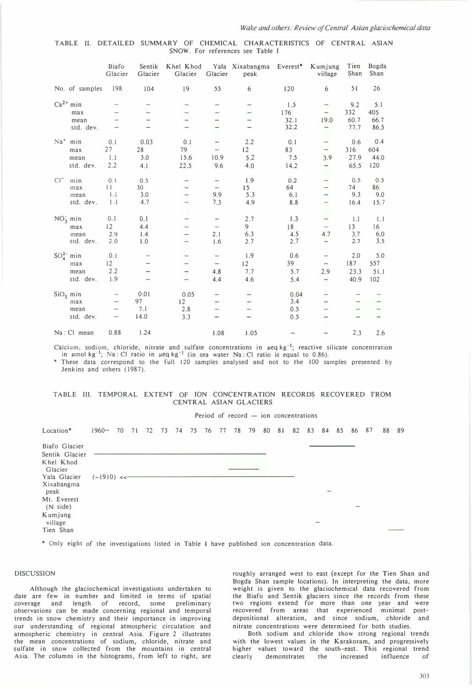TABLE H. DETAILED SUMMARY OF CHEMICAL CHARACTERISTICS OF CENTRAL ASIAN SNOW. For references see Table I

|          |                                             | <b>Biafo</b><br>Glacier            | Sentik<br>Glacier         | Khel Khod<br>Glacier      | Glacier                                                            | Yala Xixabangma<br>peak  | $E$ verest $*$             | Kumjung<br>village                                        | Tien<br>Shan               | Bogda<br>Shan              |
|----------|---------------------------------------------|------------------------------------|---------------------------|---------------------------|--------------------------------------------------------------------|--------------------------|----------------------------|-----------------------------------------------------------|----------------------------|----------------------------|
|          | No. of samples                              | 198                                | 104                       | 19                        | 55                                                                 | 6                        | 120                        | 6                                                         | 51                         | 26                         |
|          | $Ca2+ min$<br>max<br>mean<br>std. dev.      |                                    |                           |                           |                                                                    | $\overline{\phantom{0}}$ | 1.5<br>176<br>32.1<br>32.2 | $\qquad \qquad -$<br>-<br>19.0<br>-                       | 9.2<br>332<br>60.7<br>77.7 | 5.1<br>405<br>66.7<br>86.5 |
| $Na+$    | min<br>max<br>mean<br>std. dev.             | 0.1<br>27<br>1.1<br>2.2            | 0.03<br>28<br>3.0<br>4.1  | 0.1<br>79<br>15.6<br>22.5 | $\overline{\phantom{m}}$<br>10.9<br>9.6                            | 2.2<br>12<br>5.2<br>4.0  | 0.1<br>83<br>7.5<br>14.2   | -<br>-<br>3.9                                             | 0.6<br>316<br>27.9<br>65.5 | 0.4<br>604<br>44.0<br>120  |
| $CI^{-}$ | min<br>max<br>mean<br>std. dev.             | 0.1<br>11<br>1.1<br>1.1            | 0.5<br>30<br>3.0<br>4.7   | —                         | $\overline{\phantom{0}}$<br>$\overline{\phantom{m}}$<br>9.9<br>7.3 | 1.9<br>15<br>5.3<br>4.9  | 0.2<br>64<br>6.1<br>8.8    | $\qquad \qquad -$<br>-<br>$\overline{\phantom{0}}$<br>-   | 0.5<br>74<br>9.3<br>16.4   | 0.5<br>86<br>9.0<br>15.7   |
|          | $NO_3^-$ min<br>max<br>mean<br>std. dev.    | 0.1<br>12<br>2.9<br>2.0            | 0.1<br>4.4<br>1.4<br>1.0  |                           | -<br>$\overline{\phantom{0}}$<br>2.1<br>1.6                        | 2.7<br>9<br>6.3<br>2.7   | 1.3<br>18<br>4.5<br>2.7    | -<br>$\overline{\phantom{m}}$<br>4.7<br>-                 | 1.1<br>13<br>3.7<br>2.7    | 1.1<br>16<br>6.0<br>3.5    |
|          | $SO_4^{2-}$ min<br>max<br>mean<br>std. dev. | 0.1<br>12<br>2.2<br>1.9            |                           |                           | -<br>-<br>4.8<br>4.4                                               | 1.9<br>12<br>7.7<br>4.6  | 0.6<br>39<br>5.7<br>5.4    | $\qquad \qquad -$<br>$\overline{\phantom{a}}$<br>2.9<br>- | 2.0<br>187<br>23.3<br>40.9 | 5.0<br>557<br>51.1<br>102  |
|          | $SiO2$ min<br>max<br>mean<br>std. dev.      | -<br>$\overline{\phantom{0}}$<br>- | 0.01<br>97<br>7.1<br>14.0 | 0.05<br>12<br>2.8<br>3.3  |                                                                    |                          | 0.04<br>3.4<br>0.5<br>0.5  | -                                                         |                            |                            |
|          | Na: Cl mean                                 | 0.88                               | 1.24                      |                           | 1.08                                                               | 1.05                     |                            |                                                           | 2.3                        | 2.6                        |

Calcium, sodium, chloride, nitrate and sulfate concentrations in  $\mu$ eq kg<sup>-1</sup>; reactive silicate concentration in  $\mu$ mol kg<sup>-1</sup>; Na: Cl ratio in  $\mu$ eq kg<sup>-1</sup> (in sea water Na: Cl ratio is equal to 0.86).

\* These data correspond to the full 120 samples analysed and not to the 100 samples presented by lenkins and others (1987).

# TABLE III. TEMPORAL EXTENT OF ION CONCENTRATION RECORDS RECOVERED FROM CENTRAL ASIAN GLACIERS

Period of  $record - ion$  concentrations

Location\* Biafo Glacier 1960- 70 71 72 73 74 75 76 77 78 79 80 81 82 83 84 85 86 87 88 89

| <b>DIATO GRUPI</b> |             |   |
|--------------------|-------------|---|
| Sentik Glacier     |             |   |
| Khel Khod          |             |   |
| Glacier            |             |   |
| Yala Glacier       | $(-1910) <$ |   |
| Xixabangma         |             |   |
| peak               |             |   |
| Mt. Everest        |             |   |
| $(N \text{ side})$ |             | - |
| Kumjung            |             |   |
| village            |             | - |
| Tien Shan          |             |   |
|                    |             |   |

• Only eight of the investigations listed in Table I have published ion concentration data.

## DISCUSSION

Although the glaciochemical investigations undertaken to date are few in number and limited in terms of spatial coverage and length of record, some preliminary observations can be made concerning regional and temporal trends in snow chemistry and their importance in improving our understanding of regional atmospheric circulation and atmospheric chemistry in central Asia. Figure 2 illustrates the mean concentrations of sodium, chloride, nitrate and sulfate in snow collected from the mountains in central Asia. The columns in the histograms, from left to right, are

roughly arranged west to east (except for the Tien Shan and Bogda Shan sample locations). In interpreting the data, more weight is given to the glaciochemical data recovered from the Biafo and Sentik glaciers since the records from these two regions extend for more than one year and were recovered from areas that experienced minimal postdepositional alteration, and since sodium, chloride and nitrate concentrations were determined for both studies.

Both sodium and chloride show strong regional trends with the lowest values in the Karakoram, and progressively higher values toward the south-east. This regional trend<br>clearly demonstrates the increased influence of demonstrates the increased influence of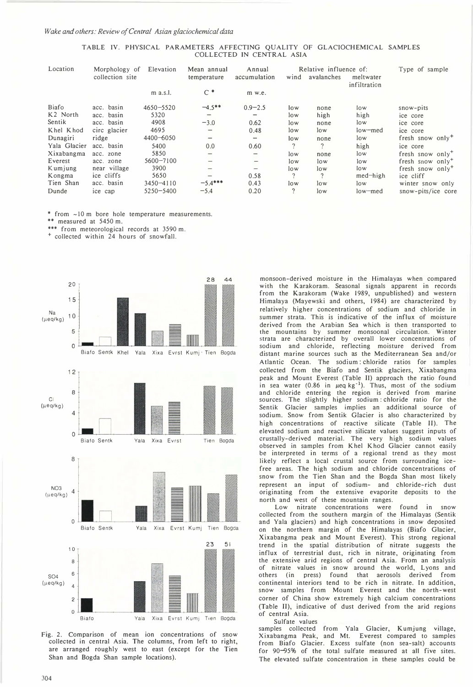## TABLE IV. PHYSICAL PARAMETERS AFFECTING QUALITY OF GLACIOCHEMICAL SAMPLES COLLECTED IN CENTRAL ASIA

| Location             | Morphology of<br>collection site | Elevation     | Mean annual<br>temperature | Annual<br>accumulation | wind   | Relative influence of:<br>avalanches | meltwater<br>infiltration | Type of sample               |  |
|----------------------|----------------------------------|---------------|----------------------------|------------------------|--------|--------------------------------------|---------------------------|------------------------------|--|
|                      |                                  | $m$ a.s.l.    | $C^*$                      | m w.e.                 |        |                                      |                           |                              |  |
| <b>Biafo</b>         | acc. basin                       | $4650 - 5520$ | $-4.5***$                  | $0.9 - 2.5$            | $\log$ | none                                 | low                       | snow-pits                    |  |
| K <sub>2</sub> North | acc. basin                       | 5320          | -                          |                        | low    | high                                 | high                      | ice core                     |  |
| Sentik               | acc. basin                       | 4908          | $-3.0$                     | 0.62                   | low    | none                                 | low                       | ice core                     |  |
| Khel Khod            | circ glacier                     | 4695          |                            | 0.48                   | low    | low                                  | low-med                   | ice core                     |  |
| Dunagiri             | ridge                            | 4400 6050     | -                          | -                      | $\log$ | none                                 | low                       | fresh snow only <sup>+</sup> |  |
| Yala Glacier         | acc. basin                       | 5400          | 0.0                        | 0.60                   | 7      | $\overline{?}$                       | high                      | ice core                     |  |
| Xixabangma           | acc. zone                        | 5850          |                            |                        | low    | none                                 | low                       | fresh snow only <sup>+</sup> |  |
| Everest              | acc. zone                        | $5600 - 7100$ |                            | -                      | low    | low                                  | low                       | fresh snow only <sup>+</sup> |  |
| Kumjung              | near village                     | 3900          |                            | —                      | low    | low                                  | low                       | fresh snow only <sup>+</sup> |  |
| Kongma               | ice cliffs                       | 5650          |                            | 0.58                   | 7      | 7                                    | med-high                  | ice cliff                    |  |
| Tien Shan            | acc. basin                       | $3450 - 4110$ | $-5.4***$                  | 0.43                   | low    | low                                  | low                       | winter snow only             |  |
| Dunde                | ice cap                          | $5250 - 5400$ | $-5.4$                     | 0.20                   | ?      | low                                  | $low$ – med               | snow-pits/ice core           |  |

\* from -10 m bore hole temperature measurements.

\*\* measured at 5450 m.

\*\*\* from meteorological records at 3590 m.

+ collected within 24 hours of snowfall.



Fig. 2. Comparison of mean ion concentrations of snow collected in central Asia. The columns, from left to right, are arranged roughly west to east (except for the Tien Shan and Bogda Shan sample locations).

monsoon-derived moisture in the Himalayas when compared with the Karakoram. Seasonal signals apparent in records from the Karakoram (Wake 1989, unpublished) and western Himalaya (Mayewski and others, 1984) are characterized by relatively higher concentrations of sodium and chloride in summer strata. This is indicative of the influx of moisture derived from the Arabian Sea which is then transported to the mountains by summer monsoonal circulation. Winter strata are characterized by overall lower concentrations of sodium and chloride, reflecting moisture derived from distant marine sources such as the Mediterranean Sea and/or Atlantic Ocean. The sodium: chloride ratios for samples collected from the Biafo and Sentik glaciers, Xixabangma peak and Mount Everest (Table 11) approach the ratio found in sea water (0.86 in  $\mu$ eq kg<sup>-1</sup>). Thus, most of the sodium and chloride entering the region is derived from marine sources. The slightly higher sodium: chloride ratio for the Sentik Glacier samples implies an additional source of sodium. Snow from Sentik Glacier is also characterized by high concentrations of reactive silicate (Table 11). The elevated sodium and reactive silicate values suggest inputs of crustally-derived material. The very high sodium values observed in samples from Khel Khod Glacier cannot easily be interpreted in terms of a regional trend as they most likely reflect a local crustal source from surrounding icefree areas. The high sodium and chloride concentrations of snow from the Tien Shan and the Bogda Shan most likely represent an input of sodium- and chloride-rich dust originating from the extensive evaporite deposits to the north and west of these mountain ranges.

Low nitrate concentrations were found in snow collected from the southern margin of the Himalayas (Sentik and Yala glaciers) and high concentrations in snow deposited on the northern margin of the Himalayas (Biafo Glacier, Xixabangma peak and Mount Everest). This strong regional trend in the spatial distribution of nitrate suggests the influx of terrestrial dust, rich in nitrate, originating from the extensive arid regions of central Asia. From an analysis of nitrate values in snow around the world, Lyons and others (in press) found that aerosols derived from that aerosols derived from continental interiors tend to be rich in nitrate. In addition, snow samples from Mount Everest and the north-west corner of China show extremely high calcium concentrations (Table 11), indicative of dust derived from the arid regions of central Asia.

#### Sulfate values are approximately 2 to 3 times higher in  $\mathbb{R}$  to 3 times higher in  $\mathbb{R}$  to 3 times higher in  $\mathbb{R}$  to 3 times higher in  $\mathbb{R}$  to 3 times higher in  $\mathbb{R}$  to 3 times higher in  $\mathbb{R}$  to 3 ti

samples collected from Yala Glacier, Kumjung village, Xixabangma Peak, and Mt. Everest compared to samples from Biafo Glacier. Excess sulfate (non sea-salt) accounts for 90-95% of the total sulfate measured at all five sites. The elevated sulfate concentration in these samples could be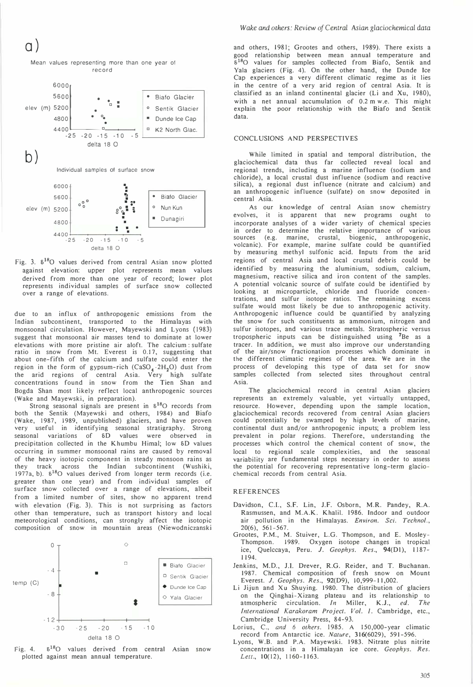a)

Mean values representing more than one year of record





Fig. 3.  $\delta^{18}$ O values derived from central Asian snow plotted against elevation: upper plot represents mean values derived from more than one year of record; lower plot represents individual samples of surface snow collected over a range of elevations.

due to an influx of anthropogenic emissions from the Indian subcontinent, transported to the Himalayas with monsoonal circulation. However, Mayewski and Lyons (1983) suggest that monsoonal air masses tend to dominate at lower elevations with more pristine air aloft. The calcium: sulfate ratio in snow from Mt. Everest is 0.17, suggesting that about one-fifth of the calcium and sulfate could enter the region in the form of gypsum-rich  $(CaSO_4 \cdot 2H_2O)$  dust from<br>the arid regions of central Asia. Very high sulfate the arid regions of central Asia. Very concentrations found in snow from the Tien Shan and Bogda Shan most likely reflect local anthropogenic sources (Wake and Mayewski, in preparation).

Strong seasonal signals are present in  $\delta^{18}O$  records from both the Sentik (Mayewski and others, 1984) and Biafo (Wake, 1987, 1989, unpublished) glaciers, and have proven very useful in identifying seasonal stratigraphy. Strong<br>seasonal variations of  $\delta D$  values were observed in seasonal variations of 8D precipitation collected in the Khumbu Himal; low 8D values occurring in summer monsoonal rains are caused by removal of the heavy isotopic component in steady monsoon rains as<br>they track across the Indian subcontinent (Wushiki, across the Indian subcontinent (Wushiki, 1977a, b). 6 180 values derived from longer term records (i.e. greater than one year) and from individual samples of surface snow collected over a range of elevations, albeit from a limited number of sites, show no apparent trend with elevation (Fig. 3). This is not surprising as factors other than temperature, such as transport history and local meteorological conditions, can strongly affect the isotopic composition of snow in mountain areas (Niewodniczanski



Fig. 4. 180 values derived from central Asian snow plotted against mean annual temperature.

and others, 1981; Grootes and others, 1989). There exists a good relationship between mean annual temperature and 6 180 values for samples collected from Biafo, Sentik and Yala glaciers (Fig. 4). On the other hand, the Dunde Ice Cap experiences a very different climatic regime as it lies in the centre of a very arid region of central Asia. It is classified as an inland continental glacier (Li and Xu, 1980), with a net annual accumulation of 0.2 m w.e. This might explain the poor relationship with the Biafo and Sentik data.

#### CONCLUSIONS AND PERSPECTIVES

While limited in spatial and temporal distribution, the glaciochemical data thus far collected reveal local and regional trends, including a marine influence (sodium and chloride), a local crustal dust influence (sodium and reactive silica), a regional dust influence (nitrate and calcium) and an anthropogenic influence (sulfate) on snow deposited in central Asia.

As our knowledge of central Asian snow chemistry evolves, it is apparent that new programs ought to incorporate analyses of a wider variety of chemical species in order to determine the relative importance of various sources (e.g. marine, crustal, biogenic, anthropogenic, volcanic). For example, marine sulfate could be quantified by measuring methyl sulfonic acid. Inputs from the arid regions of central Asia and local crustal debris could be identified by measuring the aluminium, sodium, calcium, magnesium, reactive silica and iron content of the samples. A potential volcanic source of sulfate could be identified by looking at microparticle, chloride and fluoride concentrations, and sulfur isotope ratios. The remaining excess sulfate would most likely be due to anthropogenic activity. Anthropogenic influence could be quantified by analyzing the snow for such constituents as ammonium, nitrogen and sulfur isotopes, and various trace metals. Stratospheric versus tropospheric inputs can be distinguished using 7Be as a tracer. In addition, we must also improve our understanding of the air/snow fractionation processes which dominate in the different climatic regimes of the area. We are in the process of developing this type of data set for snow samples collected from selected sites throughout central Asia.

The glaciochemical record in central Asian glaciers represents an extremely valuable, yet virtually untapped, resource. However, depending upon the sample location, glaciochemical records recovered from central Asian glaciers could potentially be swamped by high levels of marine, continental dust and/or anthropogenic inputs; a problem less prevalent in polar regions. Therefore, understanding the processes which control the chemical content of snow, the local to regional scale complexities, and the seasonal variability are fundamental steps necessary in order to assess the potential for recovering representative long-term glaciochemical records from central Asia.

#### REFERENCES

- Davidson, c.I., S.F. Lin, I.F. Osborn, M.R. Pandey, R.A. Rasmussen, and M.A.K. Khalil. 1986. Indoor and outdoor air pollution in the Himalayas. Environ. Sci. Technol., 20(6), 561-567.
- Grootes, P.M., M. Stuiver, L.G. Thompson, and E. Mosley-Thompson. 1989. Oxygen isotope changes in tropical ice, Quelccaya, Peru. J. Geophys. Res., 94(D1), 1187-1194.
- Ienkins, M.D., 1.1. Drever, R.G. Reider, and T. Buchanan. 1987. Chemical composition of fresh snow on Mount Everest. 1. Geophys. Res., 92(D9), 10,999-11,002.
- Li Jijun and XU Shuying. 1980. The distribution of glaciers on the Qinghai-Xizang plateau and its relationship to atmospheric circulation. In Miller, K.J., ed. The International Karakoram Project. Vol. 1. Cambridge, etc., Cambridge University Press, 84-93.
- Lorius, C., and 6 others. 1985. A 150,OOO-year climatic record from Antarctic ice. Nature, 316(6029), 591-596.
- Lyons, W.B. and P.A. Mayewski. 1983. Nitrate plus nitrite concentrations in a Himalayan ice core. Geophys. Res. Lett., 10(12), 1160-1163.